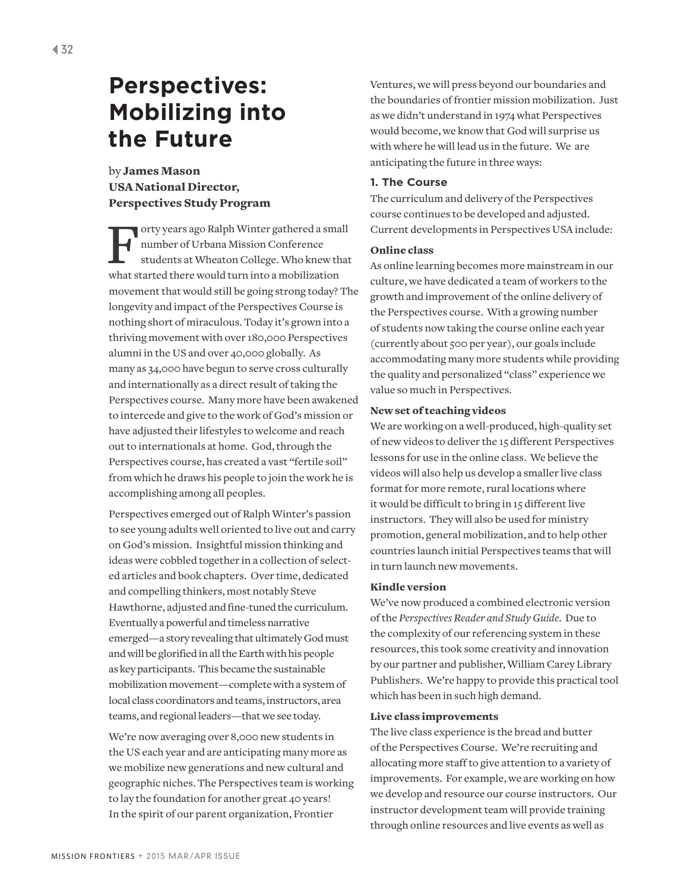# by James Mason USA National Director, Perspectives Study Program

Forty years ago Ralph Winter gathered a small number of Urbana Mission Conference students at Wheaton College. Who knew that what started there would turn into a mobilization movement that would still be going strong today? The longevity and impact of the Perspectives Course is nothing short of miraculous. Today it's grown into a thriving movement with over 180,000 Perspectives alumni in the US and over 40,000 globally. As many as 34,000 have begun to serve cross culturally and internationally as a direct result of taking the Perspectives course. Many more have been awakened to intercede and give to the work of God's mission or have adjusted their lifestyles to welcome and reach out to internationals at home. God, through the Perspectives course, has created a vast "fertile soil" from which he draws his people to join the work he is accomplishing among all peoples.

Perspectives emerged out of Ralph Winter's passion to see young adults well oriented to live out and carry on God's mission. Insightful mission thinking and ideas were cobbled together in a collection of selected articles and book chapters. Over time, dedicated and compelling thinkers, most notably Steve Hawthorne, adjusted and fine-tuned the curriculum. Eventually a powerful and timeless narrative emerged—a story revealing that ultimately God must and will be glorified in all the Earth with his people as key participants. This became the sustainable mobilization movement—complete with a system of local class coordinators and teams, instructors, area teams, and regional leaders—that we see today.

We're now averaging over 8,000 new students in the US each year and are anticipating many more as we mobilize new generations and new cultural and geographic niches. The Perspectives team is working to lay the foundation for another great 40 years! In the spirit of our parent organization, Frontier

Ventures, we will press beyond our boundaries and the boundaries of frontier mission mobilization. Just as we didn't understand in 1974 what Perspectives would become, we know that God will surprise us with where he will lead us in the future. We are anticipating the future in three ways:

## **1. The Course**

The curriculum and delivery of the Perspectives course continues to be developed and adjusted. Current developments in Perspectives USA include:

## Online class

As online learning becomes more mainstream in our culture, we have dedicated a team of workers to the growth and improvement of the online delivery of the Perspectives course. With a growing number of students now taking the course online each year (currently about 500 per year), our goals include accommodating many more students while providing the quality and personalized "class" experience we value so much in Perspectives.

## New set of teaching videos

We are working on a well-produced, high-quality set of new videos to deliver the 15 different Perspectives lessons for use in the online class. We believe the videos will also help us develop a smaller live class format for more remote, rural locations where it would be difficult to bring in 15 different live instructors. They will also be used for ministry promotion, general mobilization, and to help other countries launch initial Perspectives teams that will in turn launch new movements.

#### Kindle version

We've now produced a combined electronic version of the *Perspectives Reader and Study Guide*. Due to the complexity of our referencing system in these resources, this took some creativity and innovation by our partner and publisher, William Carey Library Publishers. We're happy to provide this practical tool which has been in such high demand.

## Live class improvements

The live class experience is the bread and butter of the Perspectives Course. We're recruiting and allocating more staff to give attention to a variety of improvements. For example, we are working on how we develop and resource our course instructors. Our instructor development team will provide training through online resources and live events as well as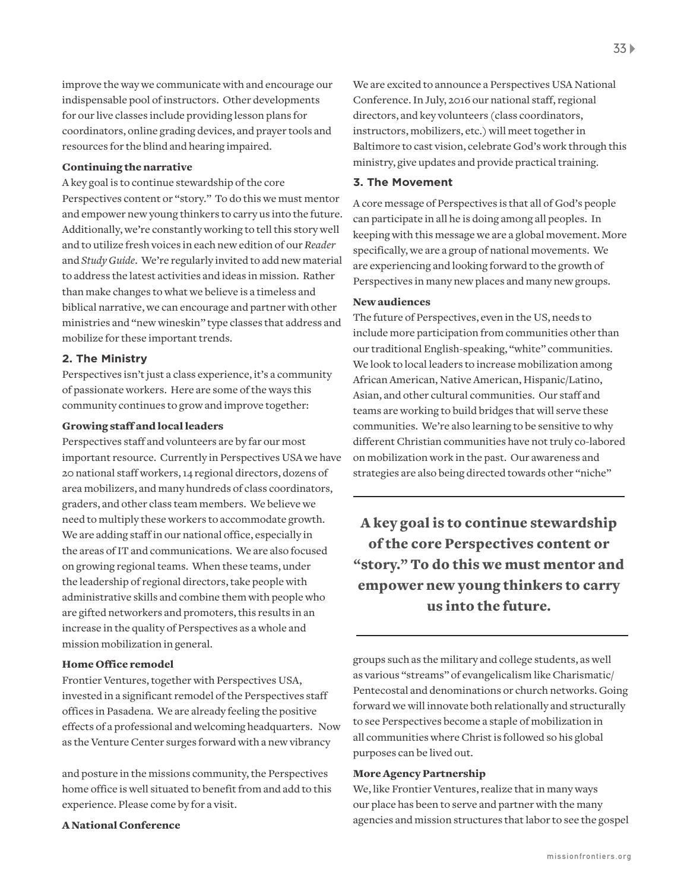improve the way we communicate with and encourage our indispensable pool of instructors. Other developments for our live classes include providing lesson plans for coordinators, online grading devices, and prayer tools and resources for the blind and hearing impaired.

#### Continuing the narrative

A key goal is to continue stewardship of the core Perspectives content or "story." To do this we must mentor and empower new young thinkers to carry us into the future. Additionally, we're constantly working to tell this story well and to utilize fresh voices in each new edition of our *Reader* and *Study Guide*. We're regularly invited to add new material to address the latest activities and ideas in mission. Rather than make changes to what we believe is a timeless and biblical narrative, we can encourage and partner with other ministries and "new wineskin" type classes that address and mobilize for these important trends.

#### **2. The Ministry**

Perspectives isn't just a class experience, it's a community of passionate workers. Here are some of the ways this community continues to grow and improve together:

## Growing staff and local leaders

Perspectives staff and volunteers are by far our most important resource. Currently in Perspectives USA we have 20 national staff workers, 14 regional directors, dozens of area mobilizers, and many hundreds of class coordinators, graders, and other class team members. We believe we need to multiply these workers to accommodate growth. We are adding staff in our national office, especially in the areas of IT and communications. We are also focused on growing regional teams. When these teams, under the leadership of regional directors, take people with administrative skills and combine them with people who are gifted networkers and promoters, this results in an increase in the quality of Perspectives as a whole and mission mobilization in general.

## Home Office remodel

Frontier Ventures, together with Perspectives USA, invested in a significant remodel of the Perspectives staff offices in Pasadena. We are already feeling the positive effects of a professional and welcoming headquarters. Now as the Venture Center surges forward with a new vibrancy

and posture in the missions community, the Perspectives home office is well situated to benefit from and add to this experience. Please come by for a visit.

#### A National Conference

We are excited to announce a Perspectives USA National Conference. In July, 2016 our national staff, regional directors, and key volunteers (class coordinators, instructors, mobilizers, etc.) will meet together in Baltimore to cast vision, celebrate God's work through this ministry, give updates and provide practical training.

#### **3. The Movement**

A core message of Perspectives is that all of God's people can participate in all he is doing among all peoples. In keeping with this message we are a global movement. More specifically, we are a group of national movements. We are experiencing and looking forward to the growth of Perspectives in many new places and many new groups.

## New audiences

The future of Perspectives, even in the US, needs to include more participation from communities other than our traditional English-speaking, "white" communities. We look to local leaders to increase mobilization among African American, Native American, Hispanic/Latino, Asian, and other cultural communities. Our staff and teams are working to build bridges that will serve these communities. We're also learning to be sensitive to why different Christian communities have not truly co-labored on mobilization work in the past. Our awareness and strategies are also being directed towards other "niche"

A key goal is to continue stewardship of the core Perspectives content or "story." To do this we must mentor and empower new young thinkers to carry us into the future.

groups such as the military and college students, as well as various "streams" of evangelicalism like Charismatic/ Pentecostal and denominations or church networks. Going forward we will innovate both relationally and structurally to see Perspectives become a staple of mobilization in all communities where Christ is followed so his global purposes can be lived out.

## More Agency Partnership

We, like Frontier Ventures, realize that in many ways our place has been to serve and partner with the many agencies and mission structures that labor to see the gospel